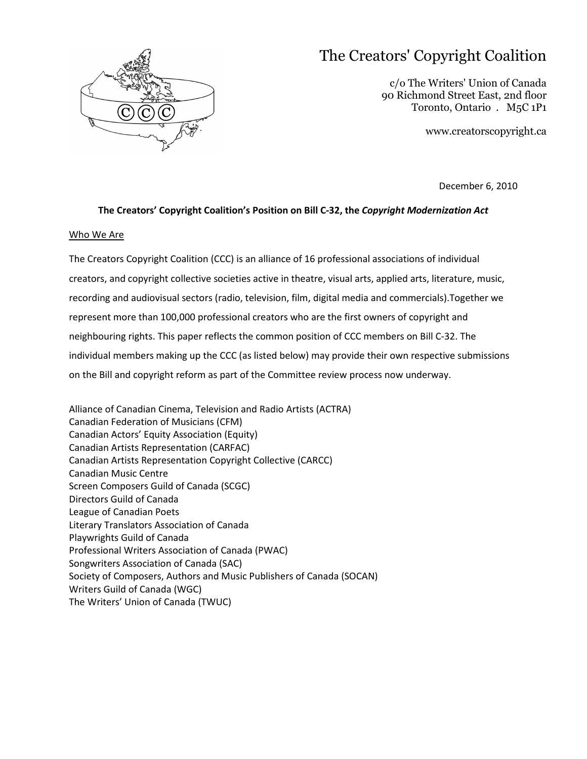

# The Creators' Copyright Coalition

c/o The Writers' Union of Canada 90 Richmond Street East, 2nd floor Toronto, Ontario . M5C 1P1

www.creatorscopyright.ca

December 6, 2010

## **The Creators' Copyright Coalition's Position on Bill C-32, the** *Copyright Modernization Act*

## Who We Are

The Creators Copyright Coalition (CCC) is an alliance of 16 professional associations of individual creators, and copyright collective societies active in theatre, visual arts, applied arts, literature, music, recording and audiovisual sectors (radio, television, film, digital media and commercials).Together we represent more than 100,000 professional creators who are the first owners of copyright and neighbouring rights. This paper reflects the common position of CCC members on Bill C-32. The individual members making up the CCC (as listed below) may provide their own respective submissions on the Bill and copyright reform as part of the Committee review process now underway.

Alliance of Canadian Cinema, Television and Radio Artists (ACTRA) Canadian Federation of Musicians (CFM) Canadian Actors' Equity Association (Equity) Canadian Artists Representation (CARFAC) Canadian Artists Representation Copyright Collective (CARCC) Canadian Music Centre Screen Composers Guild of Canada (SCGC) Directors Guild of Canada League of Canadian Poets Literary Translators Association of Canada Playwrights Guild of Canada Professional Writers Association of Canada (PWAC) Songwriters Association of Canada (SAC) Society of Composers, Authors and Music Publishers of Canada (SOCAN) Writers Guild of Canada (WGC) The Writers' Union of Canada (TWUC)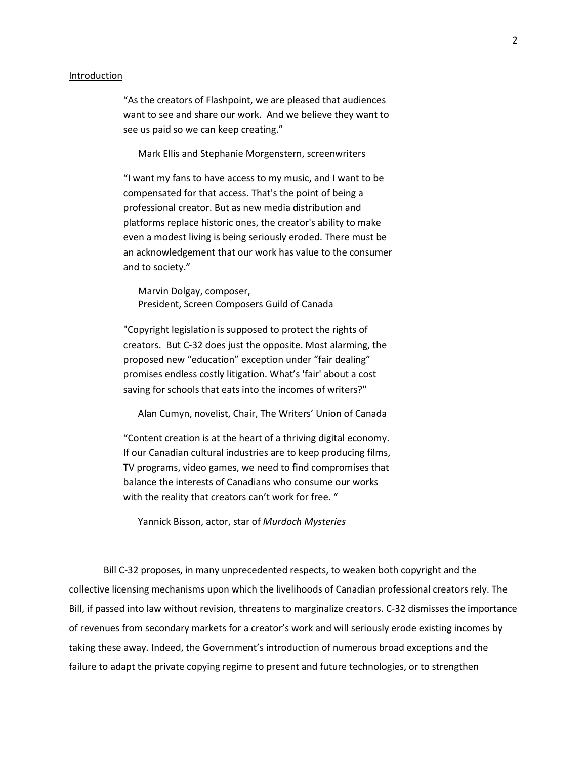#### Introduction

"As the creators of Flashpoint, we are pleased that audiences want to see and share our work. And we believe they want to see us paid so we can keep creating."

Mark Ellis and Stephanie Morgenstern, screenwriters

"I want my fans to have access to my music, and I want to be compensated for that access. That's the point of being a professional creator. But as new media distribution and platforms replace historic ones, the creator's ability to make even a modest living is being seriously eroded. There must be an acknowledgement that our work has value to the consumer and to society."

Marvin Dolgay, composer, President, Screen Composers Guild of Canada

"Copyright legislation is supposed to protect the rights of creators. But C-32 does just the opposite. Most alarming, the proposed new "education" exception under "fair dealing" promises endless costly litigation. What's 'fair' about a cost saving for schools that eats into the incomes of writers?"

Alan Cumyn, novelist, Chair, The Writers' Union of Canada

"Content creation is at the heart of a thriving digital economy. If our Canadian cultural industries are to keep producing films, TV programs, video games, we need to find compromises that balance the interests of Canadians who consume our works with the reality that creators can't work for free. "

Yannick Bisson, actor, star of *Murdoch Mysteries*

Bill C-32 proposes, in many unprecedented respects, to weaken both copyright and the collective licensing mechanisms upon which the livelihoods of Canadian professional creators rely. The Bill, if passed into law without revision, threatens to marginalize creators. C-32 dismisses the importance of revenues from secondary markets for a creator's work and will seriously erode existing incomes by taking these away. Indeed, the Government's introduction of numerous broad exceptions and the failure to adapt the private copying regime to present and future technologies, or to strengthen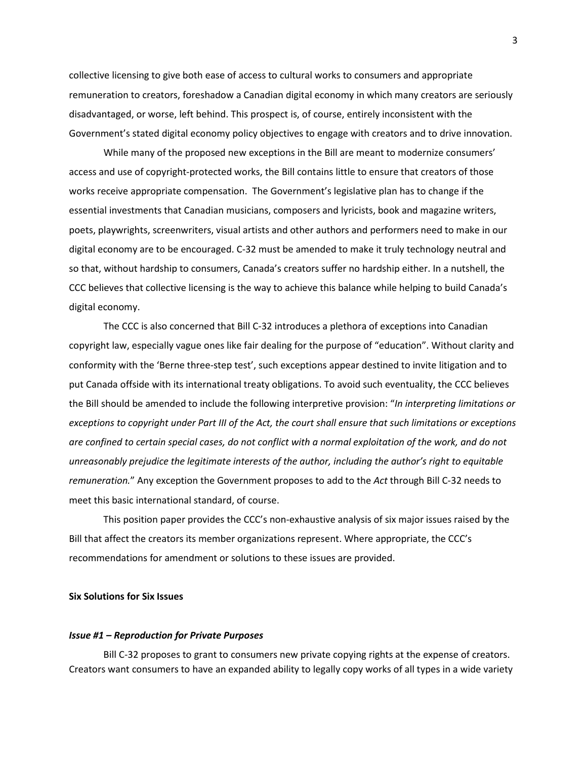collective licensing to give both ease of access to cultural works to consumers and appropriate remuneration to creators, foreshadow a Canadian digital economy in which many creators are seriously disadvantaged, or worse, left behind. This prospect is, of course, entirely inconsistent with the Government's stated digital economy policy objectives to engage with creators and to drive innovation.

While many of the proposed new exceptions in the Bill are meant to modernize consumers' access and use of copyright-protected works, the Bill contains little to ensure that creators of those works receive appropriate compensation. The Government's legislative plan has to change if the essential investments that Canadian musicians, composers and lyricists, book and magazine writers, poets, playwrights, screenwriters, visual artists and other authors and performers need to make in our digital economy are to be encouraged. C-32 must be amended to make it truly technology neutral and so that, without hardship to consumers, Canada's creators suffer no hardship either. In a nutshell, the CCC believes that collective licensing is the way to achieve this balance while helping to build Canada's digital economy.

The CCC is also concerned that Bill C-32 introduces a plethora of exceptions into Canadian copyright law, especially vague ones like fair dealing for the purpose of "education". Without clarity and conformity with the 'Berne three-step test', such exceptions appear destined to invite litigation and to put Canada offside with its international treaty obligations. To avoid such eventuality, the CCC believes the Bill should be amended to include the following interpretive provision: "*In interpreting limitations or exceptions to copyright under Part III of the Act, the court shall ensure that such limitations or exceptions are confined to certain special cases, do not conflict with a normal exploitation of the work, and do not unreasonably prejudice the legitimate interests of the author, including the author's right to equitable remuneration.*" Any exception the Government proposes to add to the *Act* through Bill C-32 needs to meet this basic international standard, of course.

This position paper provides the CCC's non-exhaustive analysis of six major issues raised by the Bill that affect the creators its member organizations represent. Where appropriate, the CCC's recommendations for amendment or solutions to these issues are provided.

## **Six Solutions for Six Issues**

#### *Issue #1 – Reproduction for Private Purposes*

Bill C-32 proposes to grant to consumers new private copying rights at the expense of creators. Creators want consumers to have an expanded ability to legally copy works of all types in a wide variety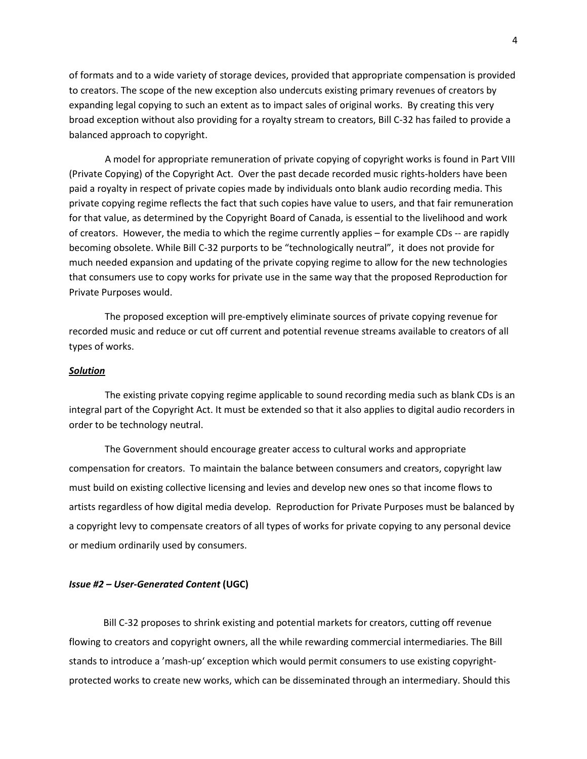of formats and to a wide variety of storage devices, provided that appropriate compensation is provided to creators. The scope of the new exception also undercuts existing primary revenues of creators by expanding legal copying to such an extent as to impact sales of original works. By creating this very broad exception without also providing for a royalty stream to creators, Bill C-32 has failed to provide a balanced approach to copyright.

 A model for appropriate remuneration of private copying of copyright works is found in Part VIII (Private Copying) of the Copyright Act. Over the past decade recorded music rights-holders have been paid a royalty in respect of private copies made by individuals onto blank audio recording media. This private copying regime reflects the fact that such copies have value to users, and that fair remuneration for that value, as determined by the Copyright Board of Canada, is essential to the livelihood and work of creators. However, the media to which the regime currently applies – for example CDs -- are rapidly becoming obsolete. While Bill C-32 purports to be "technologically neutral", it does not provide for much needed expansion and updating of the private copying regime to allow for the new technologies that consumers use to copy works for private use in the same way that the proposed Reproduction for Private Purposes would.

 The proposed exception will pre-emptively eliminate sources of private copying revenue for recorded music and reduce or cut off current and potential revenue streams available to creators of all types of works.

## *Solution*

 The existing private copying regime applicable to sound recording media such as blank CDs is an integral part of the Copyright Act. It must be extended so that it also applies to digital audio recorders in order to be technology neutral.

 The Government should encourage greater access to cultural works and appropriate compensation for creators. To maintain the balance between consumers and creators, copyright law must build on existing collective licensing and levies and develop new ones so that income flows to artists regardless of how digital media develop. Reproduction for Private Purposes must be balanced by a copyright levy to compensate creators of all types of works for private copying to any personal device or medium ordinarily used by consumers.

## *Issue #2 – User-Generated Content* **(UGC)**

Bill C-32 proposes to shrink existing and potential markets for creators, cutting off revenue flowing to creators and copyright owners, all the while rewarding commercial intermediaries. The Bill stands to introduce a 'mash-up' exception which would permit consumers to use existing copyrightprotected works to create new works, which can be disseminated through an intermediary. Should this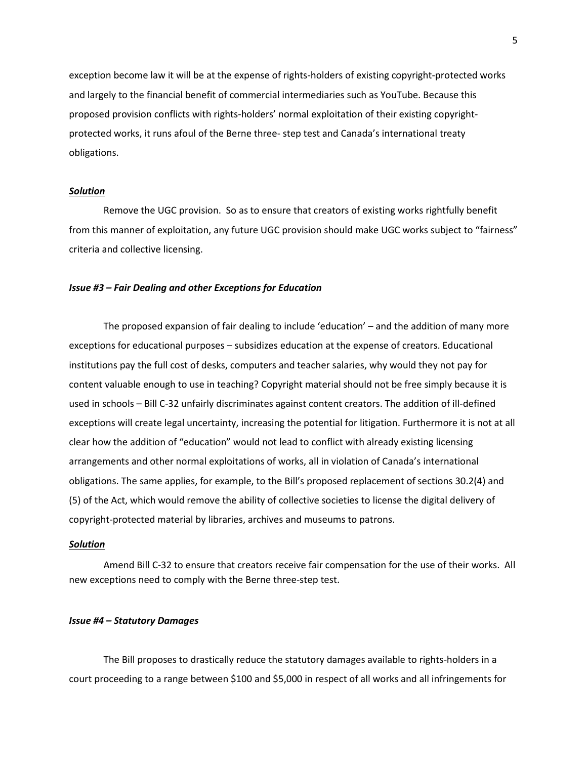exception become law it will be at the expense of rights-holders of existing copyright-protected works and largely to the financial benefit of commercial intermediaries such as YouTube. Because this proposed provision conflicts with rights-holders' normal exploitation of their existing copyrightprotected works, it runs afoul of the Berne three- step test and Canada's international treaty obligations.

## *Solution*

Remove the UGC provision. So as to ensure that creators of existing works rightfully benefit from this manner of exploitation, any future UGC provision should make UGC works subject to "fairness" criteria and collective licensing.

#### *Issue #3 – Fair Dealing and other Exceptions for Education*

The proposed expansion of fair dealing to include 'education' – and the addition of many more exceptions for educational purposes – subsidizes education at the expense of creators. Educational institutions pay the full cost of desks, computers and teacher salaries, why would they not pay for content valuable enough to use in teaching? Copyright material should not be free simply because it is used in schools – Bill C-32 unfairly discriminates against content creators. The addition of ill-defined exceptions will create legal uncertainty, increasing the potential for litigation. Furthermore it is not at all clear how the addition of "education" would not lead to conflict with already existing licensing arrangements and other normal exploitations of works, all in violation of Canada's international obligations. The same applies, for example, to the Bill's proposed replacement of sections 30.2(4) and (5) of the Act, which would remove the ability of collective societies to license the digital delivery of copyright-protected material by libraries, archives and museums to patrons.

#### *Solution*

Amend Bill C-32 to ensure that creators receive fair compensation for the use of their works. All new exceptions need to comply with the Berne three-step test.

## *Issue #4 – Statutory Damages*

The Bill proposes to drastically reduce the statutory damages available to rights-holders in a court proceeding to a range between \$100 and \$5,000 in respect of all works and all infringements for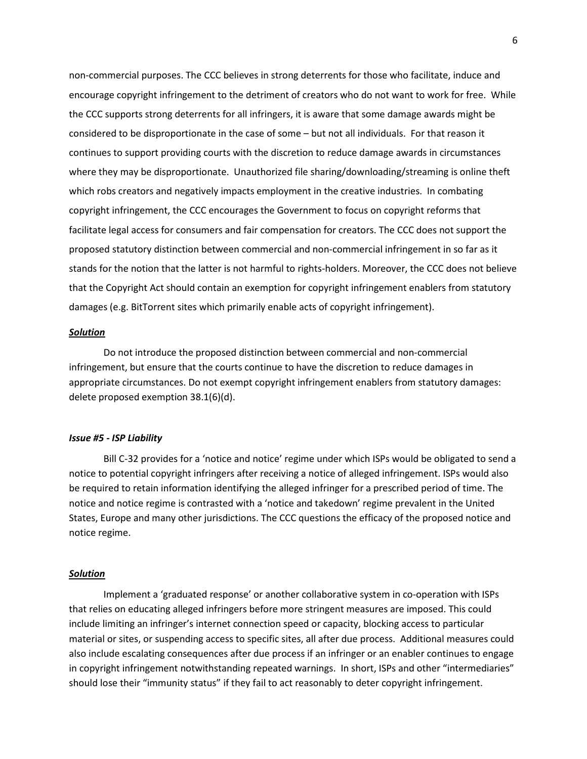non-commercial purposes. The CCC believes in strong deterrents for those who facilitate, induce and encourage copyright infringement to the detriment of creators who do not want to work for free. While the CCC supports strong deterrents for all infringers, it is aware that some damage awards might be considered to be disproportionate in the case of some – but not all individuals. For that reason it continues to support providing courts with the discretion to reduce damage awards in circumstances where they may be disproportionate. Unauthorized file sharing/downloading/streaming is online theft which robs creators and negatively impacts employment in the creative industries. In combating copyright infringement, the CCC encourages the Government to focus on copyright reforms that facilitate legal access for consumers and fair compensation for creators. The CCC does not support the proposed statutory distinction between commercial and non-commercial infringement in so far as it stands for the notion that the latter is not harmful to rights-holders. Moreover, the CCC does not believe that the Copyright Act should contain an exemption for copyright infringement enablers from statutory damages (e.g. BitTorrent sites which primarily enable acts of copyright infringement).

## *Solution*

Do not introduce the proposed distinction between commercial and non-commercial infringement, but ensure that the courts continue to have the discretion to reduce damages in appropriate circumstances. Do not exempt copyright infringement enablers from statutory damages: delete proposed exemption 38.1(6)(d).

## *Issue #5 - ISP Liability*

Bill C-32 provides for a 'notice and notice' regime under which ISPs would be obligated to send a notice to potential copyright infringers after receiving a notice of alleged infringement. ISPs would also be required to retain information identifying the alleged infringer for a prescribed period of time. The notice and notice regime is contrasted with a 'notice and takedown' regime prevalent in the United States, Europe and many other jurisdictions. The CCC questions the efficacy of the proposed notice and notice regime.

## *Solution*

Implement a 'graduated response' or another collaborative system in co-operation with ISPs that relies on educating alleged infringers before more stringent measures are imposed. This could include limiting an infringer's internet connection speed or capacity, blocking access to particular material or sites, or suspending access to specific sites, all after due process. Additional measures could also include escalating consequences after due process if an infringer or an enabler continues to engage in copyright infringement notwithstanding repeated warnings. In short, ISPs and other "intermediaries" should lose their "immunity status" if they fail to act reasonably to deter copyright infringement.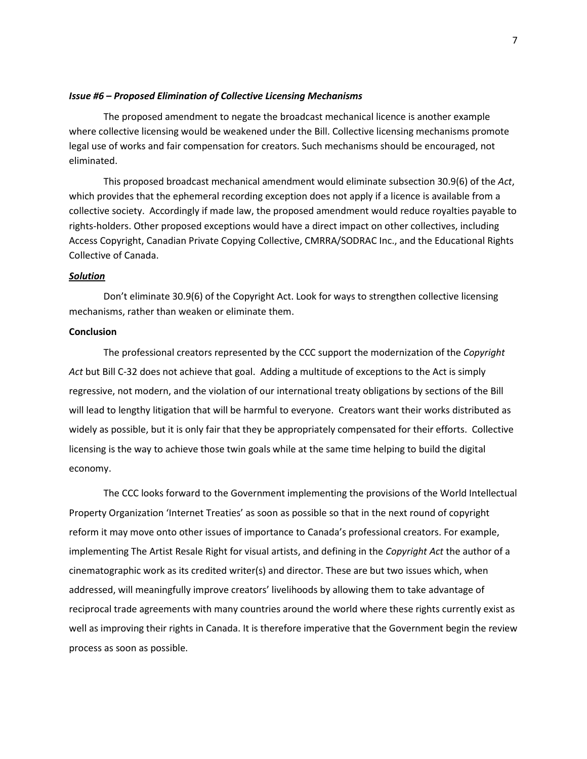## *Issue #6 – Proposed Elimination of Collective Licensing Mechanisms*

The proposed amendment to negate the broadcast mechanical licence is another example where collective licensing would be weakened under the Bill. Collective licensing mechanisms promote legal use of works and fair compensation for creators. Such mechanisms should be encouraged, not eliminated.

This proposed broadcast mechanical amendment would eliminate subsection 30.9(6) of the *Act*, which provides that the ephemeral recording exception does not apply if a licence is available from a collective society. Accordingly if made law, the proposed amendment would reduce royalties payable to rights-holders. Other proposed exceptions would have a direct impact on other collectives, including Access Copyright, Canadian Private Copying Collective, CMRRA/SODRAC Inc., and the Educational Rights Collective of Canada.

## *Solution*

Don't eliminate 30.9(6) of the Copyright Act. Look for ways to strengthen collective licensing mechanisms, rather than weaken or eliminate them.

## **Conclusion**

The professional creators represented by the CCC support the modernization of the *Copyright Act* but Bill C-32 does not achieve that goal. Adding a multitude of exceptions to the Act is simply regressive, not modern, and the violation of our international treaty obligations by sections of the Bill will lead to lengthy litigation that will be harmful to everyone. Creators want their works distributed as widely as possible, but it is only fair that they be appropriately compensated for their efforts. Collective licensing is the way to achieve those twin goals while at the same time helping to build the digital economy.

The CCC looks forward to the Government implementing the provisions of the World Intellectual Property Organization 'Internet Treaties' as soon as possible so that in the next round of copyright reform it may move onto other issues of importance to Canada's professional creators. For example, implementing The Artist Resale Right for visual artists, and defining in the *Copyright Act* the author of a cinematographic work as its credited writer(s) and director. These are but two issues which, when addressed, will meaningfully improve creators' livelihoods by allowing them to take advantage of reciprocal trade agreements with many countries around the world where these rights currently exist as well as improving their rights in Canada. It is therefore imperative that the Government begin the review process as soon as possible.